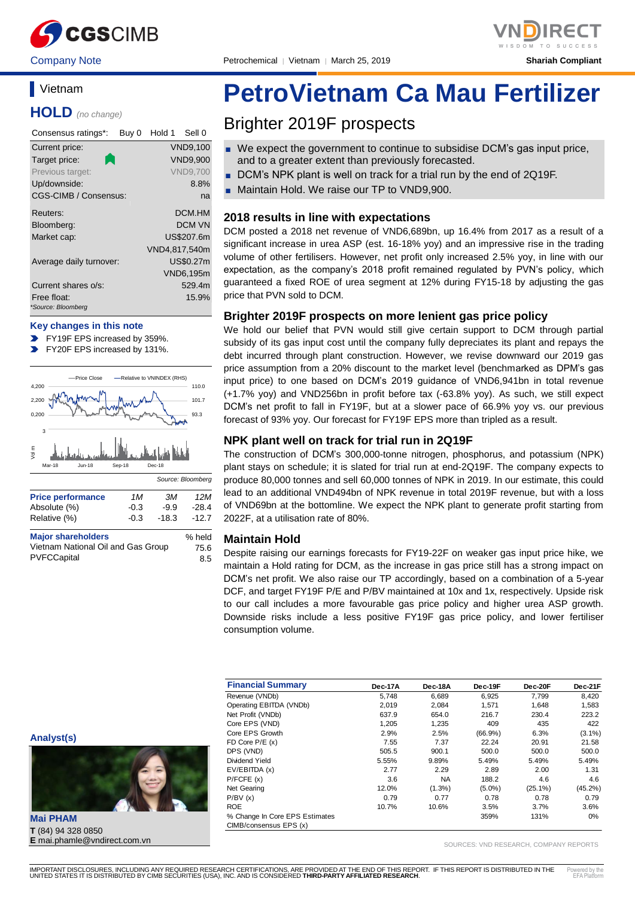

Company Note Petrochemical │ Vietnam │ March 25, 2019 **Shariah Compliant**

## **Vietnam**

**HOLD** *(no change)*

| Consensus ratings*:               | Buy 0 | Hold 1        | Sell 0           |
|-----------------------------------|-------|---------------|------------------|
| Current price:                    |       |               | <b>VND9,100</b>  |
| Target price:                     |       |               | <b>VND9,900</b>  |
| Previous target:                  |       |               | <b>VND9.700</b>  |
| Up/downside:                      |       |               | 8.8%             |
| CGS-CIMB / Consensus:             |       |               | na               |
| Reuters:                          |       |               | DCM.HM           |
| Bloomberg:                        |       |               | DCM VN           |
| Market cap:                       |       |               | US\$207.6m       |
|                                   |       | VND4,817,540m |                  |
| Average daily turnover:           |       |               | US\$0.27m        |
|                                   |       |               | <b>VND6,195m</b> |
| Current shares o/s:               |       |               | 529.4m           |
| Free float:<br>*Source: Bloomberg |       |               | 15.9%            |

#### **Key changes in this note**

- FY19F EPS increased by 359%.
- $\blacktriangleright$ FY20F EPS increased by 131%.



| <b>Major shareholders</b>          | % held |
|------------------------------------|--------|
| Vietnam National Oil and Gas Group | 75.6   |
| PVFCCapital                        | 8.5    |

Relative (%) -0.3 -18.3 -12.7

# **PetroVietnam Ca Mau Fertilizer**

## Brighter 2019F prospects

- We expect the government to continue to subsidise DCM's gas input price, and to a greater extent than previously forecasted.
- DCM's NPK plant is well on track for a trial run by the end of 2Q19F.
- Maintain Hold. We raise our TP to VND9,900.

#### **2018 results in line with expectations**

DCM posted a 2018 net revenue of VND6,689bn, up 16.4% from 2017 as a result of a significant increase in urea ASP (est. 16-18% yoy) and an impressive rise in the trading volume of other fertilisers. However, net profit only increased 2.5% yoy, in line with our expectation, as the company's 2018 profit remained regulated by PVN's policy, which guaranteed a fixed ROE of urea segment at 12% during FY15-18 by adjusting the gas price that PVN sold to DCM.

#### **Brighter 2019F prospects on more lenient gas price policy**

We hold our belief that PVN would still give certain support to DCM through partial subsidy of its gas input cost until the company fully depreciates its plant and repays the debt incurred through plant construction. However, we revise downward our 2019 gas price assumption from a 20% discount to the market level (benchmarked as DPM's gas input price) to one based on DCM's 2019 guidance of VND6,941bn in total revenue (+1.7% yoy) and VND256bn in profit before tax (-63.8% yoy). As such, we still expect DCM's net profit to fall in FY19F, but at a slower pace of 66.9% yoy vs. our previous forecast of 93% yoy. Our forecast for FY19F EPS more than tripled as a result.

#### **NPK plant well on track for trial run in 2Q19F**

The construction of DCM's 300,000-tonne nitrogen, phosphorus, and potassium (NPK) plant stays on schedule; it is slated for trial run at end-2Q19F. The company expects to produce 80,000 tonnes and sell 60,000 tonnes of NPK in 2019. In our estimate, this could lead to an additional VND494bn of NPK revenue in total 2019F revenue, but with a loss of VND69bn at the bottomline. We expect the NPK plant to generate profit starting from 2022F, at a utilisation rate of 80%.

#### **Maintain Hold**

Despite raising our earnings forecasts for FY19-22F on weaker gas input price hike, we maintain a Hold rating for DCM, as the increase in gas price still has a strong impact on DCM's net profit. We also raise our TP accordingly, based on a combination of a 5-year DCF, and target FY19F P/E and P/BV maintained at 10x and 1x, respectively. Upside risk to our call includes a more favourable gas price policy and higher urea ASP growth. Downside risks include a less positive FY19F gas price policy, and lower fertiliser consumption volume.

| <b>Financial Summary</b>       | Dec-17A | Dec-18A   | Dec-19F    | Dec-20F    | Dec-21F    |
|--------------------------------|---------|-----------|------------|------------|------------|
| Revenue (VNDb)                 | 5.748   | 6,689     | 6.925      | 7.799      | 8.420      |
| Operating EBITDA (VNDb)        | 2,019   | 2,084     | 1.571      | 1.648      | 1,583      |
| Net Profit (VNDb)              | 637.9   | 654.0     | 216.7      | 230.4      | 223.2      |
| Core EPS (VND)                 | 1.205   | 1,235     | 409        | 435        | 422        |
| Core EPS Growth                | 2.9%    | 2.5%      | $(66.9\%)$ | 6.3%       | $(3.1\%)$  |
| FD Core $P/E(x)$               | 7.55    | 7.37      | 22.24      | 20.91      | 21.58      |
| DPS (VND)                      | 505.5   | 900.1     | 500.0      | 500.0      | 500.0      |
| Dividend Yield                 | 5.55%   | 9.89%     | 5.49%      | 5.49%      | 5.49%      |
| EV/EBITDA (x)                  | 2.77    | 2.29      | 2.89       | 2.00       | 1.31       |
| P/FCFE(x)                      | 3.6     | <b>NA</b> | 188.2      | 4.6        | 4.6        |
| Net Gearing                    | 12.0%   | $(1.3\%)$ | $(5.0\%)$  | $(25.1\%)$ | $(45.2\%)$ |
| P/BV(x)                        | 0.79    | 0.77      | 0.78       | 0.78       | 0.79       |
| <b>ROE</b>                     | 10.7%   | 10.6%     | 3.5%       | 3.7%       | 3.6%       |
| % Change In Core EPS Estimates |         |           | 359%       | 131%       | 0%         |
| CIMB/consensus EPS (x)         |         |           |            |            |            |

SOURCES: VND RESEARCH, COMPANY REPORTS



**Mai PHAM T** (84) 94 328 0850 **E** mai.phamle@vndirect.com.vn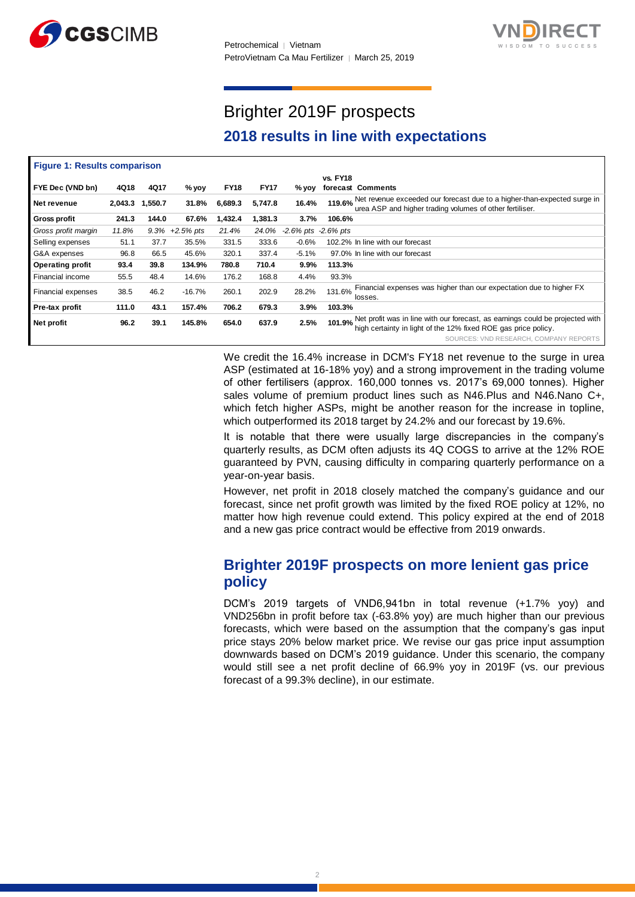



## Brighter 2019F prospects **2018 results in line with expectations**

| <b>Figure 1: Results comparison</b> |         |         |             |             |             |                           |                 |                                                                                                                                                        |
|-------------------------------------|---------|---------|-------------|-------------|-------------|---------------------------|-----------------|--------------------------------------------------------------------------------------------------------------------------------------------------------|
|                                     |         |         |             |             |             |                           | <b>vs. FY18</b> |                                                                                                                                                        |
| FYE Dec (VND bn)                    | 4Q18    | 4Q17    | % νον       | <b>FY18</b> | <b>FY17</b> | % yoy                     |                 | forecast Comments                                                                                                                                      |
| Net revenue                         | 2,043.3 | 1,550.7 | 31.8%       | 6,689.3     | 5,747.8     | 16.4%                     | 119.6%          | Net revenue exceeded our forecast due to a higher-than-expected surge in<br>urea ASP and higher trading volumes of other fertiliser.                   |
| <b>Gross profit</b>                 | 241.3   | 144.0   | 67.6%       | 1,432.4     | 1,381.3     | 3.7%                      | 106.6%          |                                                                                                                                                        |
| Gross profit margin                 | 11.8%   | 9.3%    | $+2.5%$ pts | 21.4%       | 24.0%       | $-2.6\%$ pts $-2.6\%$ pts |                 |                                                                                                                                                        |
| Selling expenses                    | 51.1    | 37.7    | 35.5%       | 331.5       | 333.6       | $-0.6%$                   |                 | 102.2% In line with our forecast                                                                                                                       |
| G&A expenses                        | 96.8    | 66.5    | 45.6%       | 320.1       | 337.4       | $-5.1%$                   |                 | 97.0% In line with our forecast                                                                                                                        |
| <b>Operating profit</b>             | 93.4    | 39.8    | 134.9%      | 780.8       | 710.4       | 9.9%                      | 113.3%          |                                                                                                                                                        |
| Financial income                    | 55.5    | 48.4    | 14.6%       | 176.2       | 168.8       | 4.4%                      | 93.3%           |                                                                                                                                                        |
| Financial expenses                  | 38.5    | 46.2    | $-16.7%$    | 260.1       | 202.9       | 28.2%                     | 131.6%          | Financial expenses was higher than our expectation due to higher FX<br>losses.                                                                         |
| Pre-tax profit                      | 111.0   | 43.1    | 157.4%      | 706.2       | 679.3       | 3.9%                      | 103.3%          |                                                                                                                                                        |
| Net profit                          | 96.2    | 39.1    | 145.8%      | 654.0       | 637.9       | 2.5%                      |                 | 101.9% Net profit was in line with our forecast, as earnings could be projected with<br>high certainty in light of the 12% fixed ROE gas price policy. |
|                                     |         |         |             |             |             |                           |                 | SOURCES: VND RESEARCH, COMPANY REPORTS                                                                                                                 |

We credit the 16.4% increase in DCM's FY18 net revenue to the surge in urea ASP (estimated at 16-18% yoy) and a strong improvement in the trading volume of other fertilisers (approx. 160,000 tonnes vs. 2017's 69,000 tonnes). Higher sales volume of premium product lines such as N46.Plus and N46.Nano C+, which fetch higher ASPs, might be another reason for the increase in topline, which outperformed its 2018 target by 24.2% and our forecast by 19.6%.

It is notable that there were usually large discrepancies in the company's quarterly results, as DCM often adjusts its 4Q COGS to arrive at the 12% ROE guaranteed by PVN, causing difficulty in comparing quarterly performance on a year-on-year basis.

However, net profit in 2018 closely matched the company's guidance and our forecast, since net profit growth was limited by the fixed ROE policy at 12%, no matter how high revenue could extend. This policy expired at the end of 2018 and a new gas price contract would be effective from 2019 onwards.

## **Brighter 2019F prospects on more lenient gas price policy**

DCM's 2019 targets of VND6,941bn in total revenue (+1.7% yoy) and VND256bn in profit before tax (-63.8% yoy) are much higher than our previous forecasts, which were based on the assumption that the company's gas input price stays 20% below market price. We revise our gas price input assumption downwards based on DCM's 2019 guidance. Under this scenario, the company would still see a net profit decline of 66.9% yoy in 2019F (vs. our previous forecast of a 99.3% decline), in our estimate.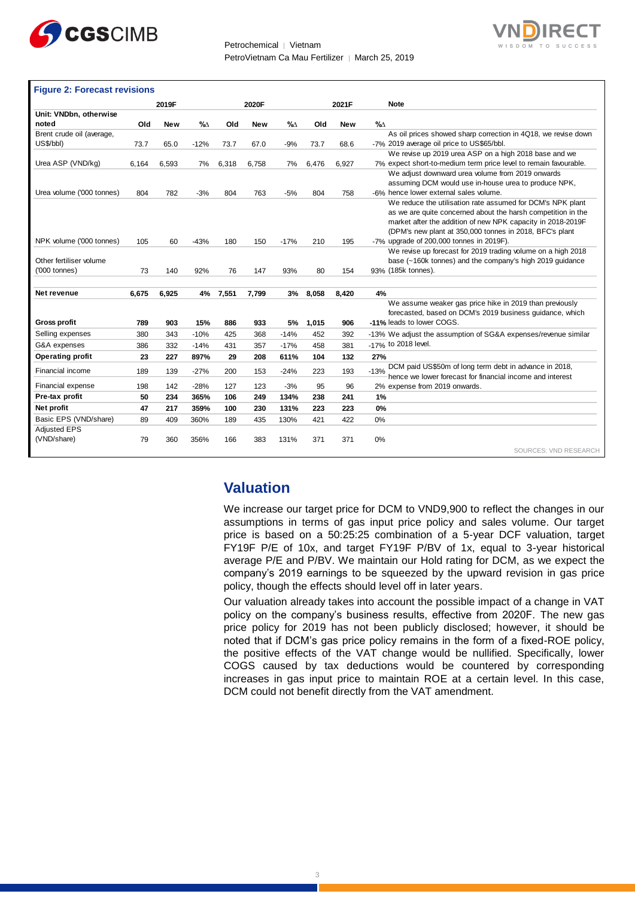



| <b>Figure 2: Forecast revisions</b> |       |            |        |       |            |        |       |            |                                                                  |
|-------------------------------------|-------|------------|--------|-------|------------|--------|-------|------------|------------------------------------------------------------------|
|                                     |       | 2019F      |        |       | 2020F      |        |       | 2021F      | <b>Note</b>                                                      |
| Unit: VNDbn, otherwise<br>noted     | Old   | <b>New</b> | %      | Old   | <b>New</b> | %∆     | Old   | <b>New</b> | %                                                                |
| Brent crude oil (average,           |       |            |        |       |            |        |       |            | As oil prices showed sharp correction in 4Q18, we revise down    |
| US\$/bbl)                           | 73.7  | 65.0       | $-12%$ | 73.7  | 67.0       | $-9%$  | 73.7  | 68.6       | -7% 2019 average oil price to US\$65/bbl.                        |
|                                     |       |            |        |       |            |        |       |            | We revise up 2019 urea ASP on a high 2018 base and we            |
| Urea ASP (VND/kg)                   | 6,164 | 6,593      | 7%     | 6,318 | 6,758      | 7%     | 6,476 | 6,927      | 7% expect short-to-medium term price level to remain favourable. |
|                                     |       |            |        |       |            |        |       |            | We adjust downward urea volume from 2019 onwards                 |
|                                     |       |            |        |       |            |        |       |            | assuming DCM would use in-house urea to produce NPK,             |
| Urea volume ('000 tonnes)           | 804   | 782        | $-3%$  | 804   | 763        | $-5%$  | 804   | 758        | -6% hence lower external sales volume.                           |
|                                     |       |            |        |       |            |        |       |            | We reduce the utilisation rate assumed for DCM's NPK plant       |
|                                     |       |            |        |       |            |        |       |            | as we are quite concerned about the harsh competition in the     |
|                                     |       |            |        |       |            |        |       |            | market after the addition of new NPK capacity in 2018-2019F      |
|                                     |       |            |        |       |            |        |       |            | (DPM's new plant at 350,000 tonnes in 2018, BFC's plant          |
| NPK volume ('000 tonnes)            | 105   | 60         | $-43%$ | 180   | 150        | $-17%$ | 210   | 195        | -7% upgrade of 200,000 tonnes in 2019F).                         |
|                                     |       |            |        |       |            |        |       |            | We revise up forecast for 2019 trading volume on a high 2018     |
| Other fertiliser volume             |       |            |        |       |            |        |       |            | base (~160k tonnes) and the company's high 2019 guidance         |
| ('000 tonnes)                       | 73    | 140        | 92%    | 76    | 147        | 93%    | 80    | 154        | 93% (185k tonnes).                                               |
| Net revenue                         | 6,675 | 6,925      | 4%     | 7,551 | 7,799      | 3%     | 8,058 | 8,420      | 4%                                                               |
|                                     |       |            |        |       |            |        |       |            | We assume weaker gas price hike in 2019 than previously          |
|                                     |       |            |        |       |            |        |       |            | forecasted, based on DCM's 2019 business guidance, which         |
| <b>Gross profit</b>                 | 789   | 903        | 15%    | 886   | 933        | 5%     | 1,015 | 906        | -11% leads to lower COGS.                                        |
| Selling expenses                    | 380   | 343        | $-10%$ | 425   | 368        | $-14%$ | 452   | 392        | -13% We adjust the assumption of SG&A expenses/revenue similar   |
| G&A expenses                        | 386   | 332        | $-14%$ | 431   | 357        | $-17%$ | 458   | 381        | -17% to 2018 level.                                              |
| <b>Operating profit</b>             | 23    | 227        | 897%   | 29    | 208        | 611%   | 104   | 132        | 27%                                                              |
| Financial income                    | 189   | 139        | $-27%$ | 200   | 153        | $-24%$ | 223   | 193        | DCM paid US\$50m of long term debt in advance in 2018,<br>$-13%$ |
|                                     |       |            |        |       |            |        |       |            | hence we lower forecast for financial income and interest        |
| Financial expense                   | 198   | 142        | $-28%$ | 127   | 123        | $-3%$  | 95    | 96         | 2% expense from 2019 onwards.                                    |
| Pre-tax profit                      | 50    | 234        | 365%   | 106   | 249        | 134%   | 238   | 241        | $1\%$                                                            |
| Net profit                          | 47    | 217        | 359%   | 100   | 230        | 131%   | 223   | 223        | 0%                                                               |
| Basic EPS (VND/share)               | 89    | 409        | 360%   | 189   | 435        | 130%   | 421   | 422        | 0%                                                               |
| <b>Adjusted EPS</b>                 |       |            |        |       |            |        |       |            |                                                                  |
| (VND/share)                         | 79    | 360        | 356%   | 166   | 383        | 131%   | 371   | 371        | 0%                                                               |
|                                     |       |            |        |       |            |        |       |            | SOURCES: VND RESEARCH                                            |

### **Valuation**

We increase our target price for DCM to VND9,900 to reflect the changes in our assumptions in terms of gas input price policy and sales volume. Our target price is based on a 50:25:25 combination of a 5-year DCF valuation, target FY19F P/E of 10x, and target FY19F P/BV of 1x, equal to 3-year historical average P/E and P/BV. We maintain our Hold rating for DCM, as we expect the company's 2019 earnings to be squeezed by the upward revision in gas price policy, though the effects should level off in later years.

Our valuation already takes into account the possible impact of a change in VAT policy on the company's business results, effective from 2020F. The new gas price policy for 2019 has not been publicly disclosed; however, it should be noted that if DCM's gas price policy remains in the form of a fixed-ROE policy, the positive effects of the VAT change would be nullified. Specifically, lower COGS caused by tax deductions would be countered by corresponding increases in gas input price to maintain ROE at a certain level. In this case, DCM could not benefit directly from the VAT amendment.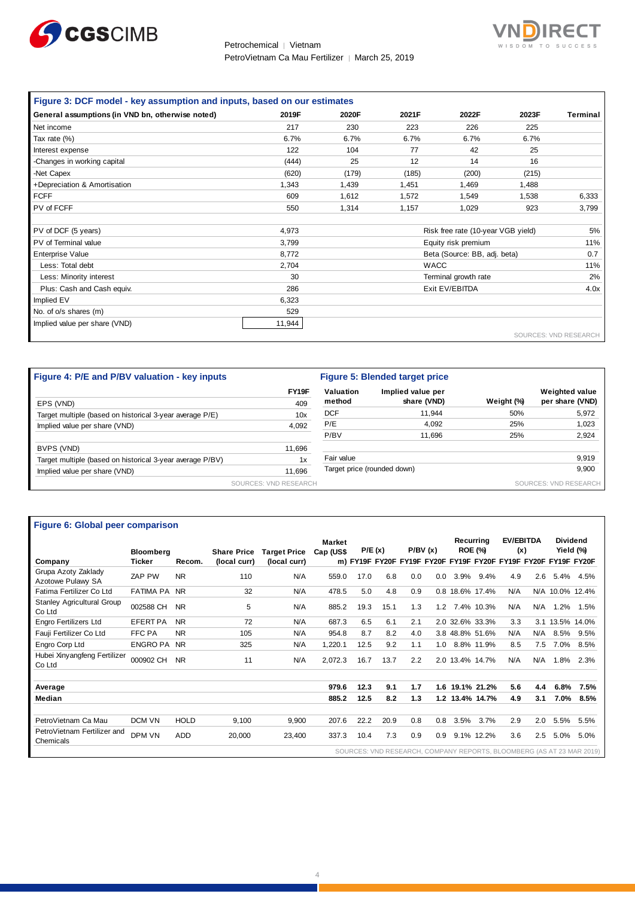



| Figure 3: DCF model - key assumption and inputs, based on our estimates |        |       |       |                                    |       |                       |
|-------------------------------------------------------------------------|--------|-------|-------|------------------------------------|-------|-----------------------|
| General assumptions (in VND bn, otherwise noted)                        | 2019F  | 2020F | 2021F | 2022F                              | 2023F | Terminal              |
| Net income                                                              | 217    | 230   | 223   | 226                                | 225   |                       |
| Tax rate (%)                                                            | 6.7%   | 6.7%  | 6.7%  | 6.7%                               | 6.7%  |                       |
| Interest expense                                                        | 122    | 104   | 77    | 42                                 | 25    |                       |
| -Changes in working capital                                             | (444)  | 25    | 12    | 14                                 | 16    |                       |
| -Net Capex                                                              | (620)  | (179) | (185) | (200)                              | (215) |                       |
| +Depreciation & Amortisation                                            | 1,343  | 1,439 | 1,451 | 1,469                              | 1,488 |                       |
| <b>FCFF</b>                                                             | 609    | 1,612 | 1,572 | 1,549                              | 1,538 | 6,333                 |
| PV of FCFF                                                              | 550    | 1,314 | 1,157 | 1,029                              | 923   | 3,799                 |
|                                                                         |        |       |       |                                    |       |                       |
| PV of DCF (5 years)                                                     | 4,973  |       |       | Risk free rate (10-year VGB yield) |       | 5%                    |
| PV of Terminal value                                                    | 3,799  |       |       | Equity risk premium                |       | 11%                   |
| <b>Enterprise Value</b>                                                 | 8,772  |       |       | Beta (Source: BB, adj. beta)       |       | 0.7                   |
| Less: Total debt                                                        | 2,704  |       |       | <b>WACC</b>                        |       | 11%                   |
| Less: Minority interest                                                 | 30     |       |       | Terminal growth rate               |       | 2%                    |
| Plus: Cash and Cash equiv.                                              | 286    |       |       | Exit EV/EBITDA                     |       | 4.0x                  |
| Implied EV                                                              | 6,323  |       |       |                                    |       |                       |
| No. of o/s shares (m)                                                   | 529    |       |       |                                    |       |                       |
| Implied value per share (VND)                                           | 11,944 |       |       |                                    |       |                       |
|                                                                         |        |       |       |                                    |       | SOURCES: VND RESEARCH |

| Figure 4: P/E and P/BV valuation - key inputs             |                       | Figure 5: Blended target price |                             |            |                       |  |
|-----------------------------------------------------------|-----------------------|--------------------------------|-----------------------------|------------|-----------------------|--|
|                                                           | FY19F                 | Valuation                      | Implied value per           |            | <b>Weighted value</b> |  |
| EPS (VND)                                                 | 409                   | method                         | share (VND)                 | Weight (%) | per share (VND)       |  |
| Target multiple (based on historical 3-year average P/E)  | 10x                   | <b>DCF</b>                     | 11.944                      | 50%        | 5,972                 |  |
| Implied value per share (VND)                             | 4,092                 | P/E                            | 4,092                       | 25%        | 1,023                 |  |
|                                                           |                       | P/BV                           | 11.696                      | 25%        | 2,924                 |  |
| BVPS (VND)                                                | 11,696                |                                |                             |            |                       |  |
| Target multiple (based on historical 3-year average P/BV) | 1x                    | Fair value                     |                             |            | 9,919                 |  |
| Implied value per share (VND)                             | 11.696                |                                | Target price (rounded down) |            | 9,900                 |  |
|                                                           | SOURCES: VND RESEARCH |                                |                             |            | SOURCES: VND RESEARCH |  |

#### **Figure 6: Global peer comparison**

| Figure 6: Global peer comparison            |                  |             |                    |                     |               |      |        |         |     |      |                 |     |                  |                 |                                                                |
|---------------------------------------------|------------------|-------------|--------------------|---------------------|---------------|------|--------|---------|-----|------|-----------------|-----|------------------|-----------------|----------------------------------------------------------------|
|                                             |                  |             |                    |                     | <b>Market</b> |      |        |         |     |      | Recurrina       |     | <b>EV/EBITDA</b> |                 | <b>Dividend</b>                                                |
|                                             | <b>Bloomberg</b> |             | <b>Share Price</b> | <b>Target Price</b> | Cap (US\$     |      | P/E(x) | P/BV(x) |     |      | <b>ROE (%)</b>  |     | (x)              |                 | Yield (%)                                                      |
| Company                                     | <b>Ticker</b>    | Recom.      | (local curr)       | (local curr)        |               |      |        |         |     |      |                 |     |                  |                 | m) FY19F FY20F FY19F FY20F FY19F FY20F FY19F FY20F FY19F FY20F |
| Grupa Azoty Zaklady<br>Azotowe Pulawy SA    | ZAP PW           | <b>NR</b>   | 110                | N/A                 | 559.0         | 17.0 | 6.8    | 0.0     | 0.0 | 3.9% | 9.4%            | 4.9 | 2.6              |                 | 5.4% 4.5%                                                      |
| Fatima Fertilizer Co Ltd                    | <b>FATIMA PA</b> | <b>NR</b>   | 32                 | N/A                 | 478.5         | 5.0  | 4.8    | 0.9     |     |      | 0.8 18.6% 17.4% | N/A |                  | N/A 10.0% 12.4% |                                                                |
| <b>Stanley Agricultural Group</b><br>Co Ltd | 002588 CH        | <b>NR</b>   | 5                  | N/A                 | 885.2         | 19.3 | 15.1   | 1.3     | 1.2 |      | 7.4% 10.3%      | N/A | N/A              | 1.2%            | 1.5%                                                           |
| Engro Fertilizers Ltd                       | <b>EFERT PA</b>  | <b>NR</b>   | 72                 | N/A                 | 687.3         | 6.5  | 6.1    | 2.1     |     |      | 2.0 32.6% 33.3% | 3.3 |                  | 3.1 13.5% 14.0% |                                                                |
| Fauji Fertilizer Co Ltd                     | FFC PA           | <b>NR</b>   | 105                | N/A                 | 954.8         | 8.7  | 8.2    | 4.0     |     |      | 3.8 48.8% 51.6% | N/A | N/A              | 8.5%            | 9.5%                                                           |
| Engro Corp Ltd                              | <b>ENGRO PA</b>  | <b>NR</b>   | 325                | N/A                 | 1,220.1       | 12.5 | 9.2    | 1.1     | 1.0 |      | 8.8% 11.9%      | 8.5 | 7.5              | 7.0%            | 8.5%                                                           |
| Hubei Xinyangfeng Fertilizer<br>Co Ltd      | 000902 CH        | <b>NR</b>   | 11                 | N/A                 | 2,072.3       | 16.7 | 13.7   | 2.2     |     |      | 2.0 13.4% 14.7% | N/A | N/A              | 1.8%            | 2.3%                                                           |
| Average                                     |                  |             |                    |                     | 979.6         | 12.3 | 9.1    | 1.7     |     |      | 1.6 19.1% 21.2% | 5.6 | 4.4              | 6.8%            | 7.5%                                                           |
| Median                                      |                  |             |                    |                     | 885.2         | 12.5 | 8.2    | 1.3     |     |      | 1.2 13.4% 14.7% | 4.9 | 3.1              | 7.0%            | 8.5%                                                           |
| PetroVietnam Ca Mau                         | DCM VN           | <b>HOLD</b> | 9.100              | 9.900               | 207.6         | 22.2 | 20.9   | 0.8     | 0.8 | 3.5% | 3.7%            | 2.9 | 2.0              | 5.5%            | 5.5%                                                           |
| PetroVietnam Fertilizer and<br>Chemicals    | DPM VN           | <b>ADD</b>  | 20,000             | 23,400              | 337.3         | 10.4 | 7.3    | 0.9     | 0.9 |      | 9.1% 12.2%      | 3.6 | 2.5              | 5.0%            | 5.0%                                                           |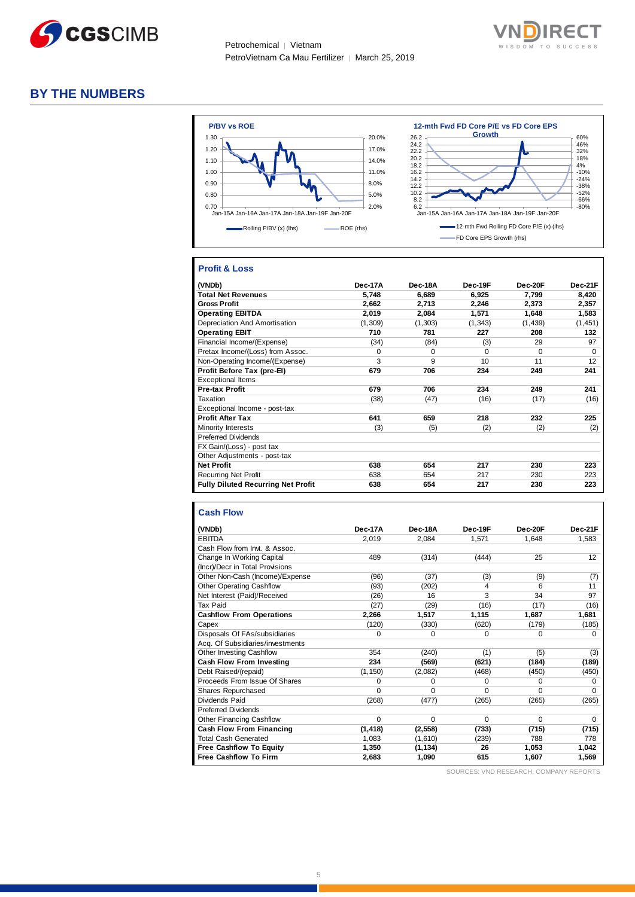



#### **BY THE NUMBERS**



#### **Profit & Loss**

| (VNDb)                                    | Dec-17A  | Dec-18A | Dec-19F  | $Dec-20F$ | Dec-21F  |
|-------------------------------------------|----------|---------|----------|-----------|----------|
| <b>Total Net Revenues</b>                 | 5.748    | 6.689   | 6.925    | 7.799     | 8,420    |
| <b>Gross Profit</b>                       | 2.662    | 2,713   | 2,246    | 2.373     | 2,357    |
| <b>Operating EBITDA</b>                   | 2.019    | 2.084   | 1.571    | 1.648     | 1,583    |
| Depreciation And Amortisation             | (1, 309) | (1,303) | (1,343)  | (1,439)   | (1, 451) |
| <b>Operating EBIT</b>                     | 710      | 781     | 227      | 208       | 132      |
| Financial Income/(Expense)                | (34)     | (84)    | (3)      | 29        | 97       |
| Pretax Income/(Loss) from Assoc.          | $\Omega$ | 0       | $\Omega$ | $\Omega$  | $\Omega$ |
| Non-Operating Income/(Expense)            | 3        | 9       | 10       | 11        | 12       |
| Profit Before Tax (pre-El)                | 679      | 706     | 234      | 249       | 241      |
| <b>Exceptional Items</b>                  |          |         |          |           |          |
| <b>Pre-tax Profit</b>                     | 679      | 706     | 234      | 249       | 241      |
| Taxation                                  | (38)     | (47)    | (16)     | (17)      | (16)     |
| Exceptional Income - post-tax             |          |         |          |           |          |
| <b>Profit After Tax</b>                   | 641      | 659     | 218      | 232       | 225      |
| Minority Interests                        | (3)      | (5)     | (2)      | (2)       | (2)      |
| <b>Preferred Dividends</b>                |          |         |          |           |          |
| FX Gain/(Loss) - post tax                 |          |         |          |           |          |
| Other Adjustments - post-tax              |          |         |          |           |          |
| <b>Net Profit</b>                         | 638      | 654     | 217      | 230       | 223      |
| <b>Recurring Net Profit</b>               | 638      | 654     | 217      | 230       | 223      |
| <b>Fully Diluted Recurring Net Profit</b> | 638      | 654     | 217      | 230       | 223      |

#### **Cash Flow**

| (VNDb)                           | Dec-17A  | Dec-18A  | Dec-19F  | Dec-20F  | Dec-21F  |
|----------------------------------|----------|----------|----------|----------|----------|
| <b>EBITDA</b>                    | 2,019    | 2,084    | 1,571    | 1,648    | 1,583    |
| Cash Flow from Invt. & Assoc.    |          |          |          |          |          |
| Change In Working Capital        | 489      | (314)    | (444)    | 25       | 12       |
| (Incr)/Decr in Total Provisions  |          |          |          |          |          |
| Other Non-Cash (Income)/Expense  | (96)     | (37)     | (3)      | (9)      | (7)      |
| <b>Other Operating Cashflow</b>  | (93)     | (202)    | 4        | 6        | 11       |
| Net Interest (Paid)/Received     | (26)     | 16       | 3        | 34       | 97       |
| Tax Paid                         | (27)     | (29)     | (16)     | (17)     | (16)     |
| <b>Cashflow From Operations</b>  | 2,266    | 1,517    | 1,115    | 1,687    | 1,681    |
| Capex                            | (120)    | (330)    | (620)    | (179)    | (185)    |
| Disposals Of FAs/subsidiaries    | 0        | 0        | 0        | 0        | 0        |
| Acq. Of Subsidiaries/investments |          |          |          |          |          |
| Other Investing Cashflow         | 354      | (240)    | (1)      | (5)      | (3)      |
| <b>Cash Flow From Investing</b>  | 234      | (569)    | (621)    | (184)    | (189)    |
| Debt Raised/(repaid)             | (1, 150) | (2,082)  | (468)    | (450)    | (450)    |
| Proceeds From Issue Of Shares    | 0        | $\Omega$ | 0        | $\Omega$ | $\Omega$ |
| Shares Repurchased               | 0        | $\Omega$ | $\Omega$ | $\Omega$ | $\Omega$ |
| Dividends Paid                   | (268)    | (477)    | (265)    | (265)    | (265)    |
| <b>Preferred Dividends</b>       |          |          |          |          |          |
| <b>Other Financing Cashflow</b>  | $\Omega$ | $\Omega$ | 0        | $\Omega$ | $\Omega$ |
| <b>Cash Flow From Financing</b>  | (1, 418) | (2, 558) | (733)    | (715)    | (715)    |
| <b>Total Cash Generated</b>      | 1,083    | (1,610)  | (239)    | 788      | 778      |
| <b>Free Cashflow To Equity</b>   | 1,350    | (1, 134) | 26       | 1,053    | 1,042    |
| <b>Free Cashflow To Firm</b>     | 2,683    | 1,090    | 615      | 1,607    | 1,569    |

SOURCES: VND RESEARCH, COMPANY REPORTS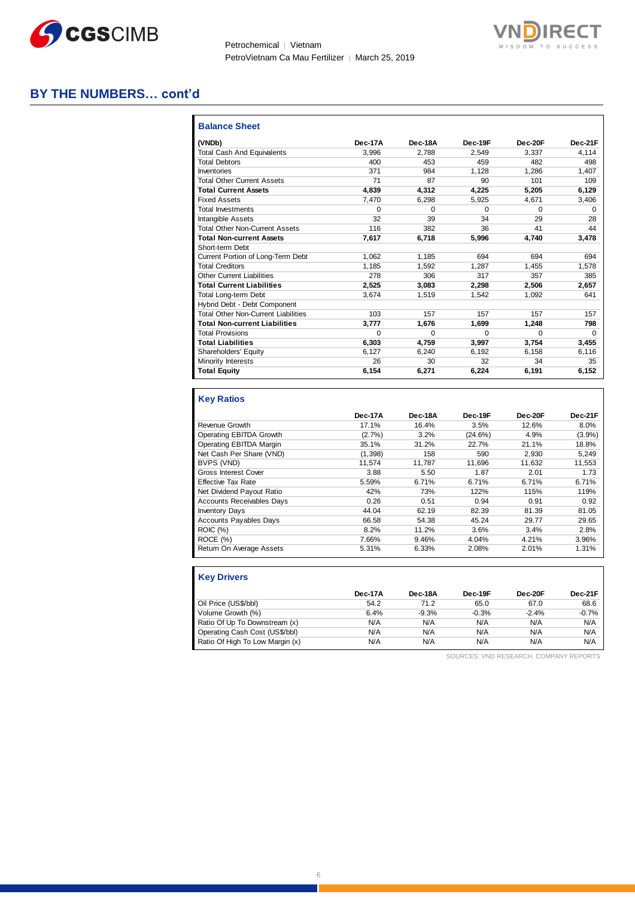



#### **BY THE NUMBERS… cont'd**

| <b>Balance Sheet</b>                       |         |              |          |          |          |
|--------------------------------------------|---------|--------------|----------|----------|----------|
| (VNDb)                                     | Dec-17A | Dec-18A      | Dec-19F  | Dec-20F  | Dec-21F  |
| Total Cash And Equivalents                 | 3.996   | 2.788        | 2.549    | 3.337    | 4.114    |
| <b>Total Debtors</b>                       | 400     | 453          | 459      | 482      | 498      |
| Inventories                                | 371     | 984          | 1.128    | 1.286    | 1.407    |
| <b>Total Other Current Assets</b>          | 71      | 87           | 90       | 101      | 109      |
| <b>Total Current Assets</b>                | 4.839   | 4,312        | 4,225    | 5,205    | 6,129    |
| <b>Fixed Assets</b>                        | 7.470   | 6.298        | 5.925    | 4.671    | 3,406    |
| <b>Total Investments</b>                   | 0       | $\Omega$     | $\Omega$ | $\Omega$ | 0        |
| <b>Intangible Assets</b>                   | 32      | 39           | 34       | 29       | 28       |
| <b>Total Other Non-Current Assets</b>      | 116     | 382          | 36       | 41       | 44       |
| <b>Total Non-current Assets</b>            | 7,617   | 6.718        | 5,996    | 4.740    | 3,478    |
| Short-term Debt                            |         |              |          |          |          |
| Current Portion of Long-Term Debt          | 1.062   | 1.185        | 694      | 694      | 694      |
| <b>Total Creditors</b>                     | 1.185   | 1.592        | 1.287    | 1.455    | 1,578    |
| <b>Other Current Liabilities</b>           | 278     | 306          | 317      | 357      | 385      |
| <b>Total Current Liabilities</b>           | 2.525   | 3.083        | 2.298    | 2.506    | 2.657    |
| <b>Total Long-term Debt</b>                | 3.674   | 1.519        | 1.542    | 1.092    | 641      |
| Hybrid Debt - Debt Component               |         |              |          |          |          |
| <b>Total Other Non-Current Liabilities</b> | 103     | 157          | 157      | 157      | 157      |
| <b>Total Non-current Liabilities</b>       | 3,777   | 1,676        | 1,699    | 1,248    | 798      |
| <b>Total Provisions</b>                    | O       | <sup>0</sup> | $\Omega$ | $\Omega$ | $\Omega$ |
| <b>Total Liabilities</b>                   | 6,303   | 4.759        | 3.997    | 3.754    | 3,455    |
| Shareholders' Equity                       | 6,127   | 6.240        | 6.192    | 6.158    | 6,116    |
| Minority Interests                         | 26      | 30           | 32       | 34       | 35       |
| <b>Total Equity</b>                        | 6.154   | 6.271        | 6.224    | 6.191    | 6,152    |

#### **Key Ratios**

|                                  | Dec-17A | Dec-18A | Dec-19F | Dec-20F | Dec-21F |
|----------------------------------|---------|---------|---------|---------|---------|
| Revenue Growth                   | 17.1%   | 16.4%   | 3.5%    | 12.6%   | 8.0%    |
| Operating EBITDA Growth          | (2.7%)  | 3.2%    | (24.6%) | 4.9%    | (3.9%)  |
| Operating EBITDA Margin          | 35.1%   | 31.2%   | 22.7%   | 21.1%   | 18.8%   |
| Net Cash Per Share (VND)         | (1,398) | 158     | 590     | 2.930   | 5.249   |
| BVPS (VND)                       | 11.574  | 11.787  | 11.696  | 11.632  | 11,553  |
| <b>Gross Interest Cover</b>      | 3.88    | 5.50    | 1.87    | 2.01    | 1.73    |
| <b>Effective Tax Rate</b>        | 5.59%   | 6.71%   | 6.71%   | 6.71%   | 6.71%   |
| Net Dividend Payout Ratio        | 42%     | 73%     | 122%    | 115%    | 119%    |
| <b>Accounts Receivables Days</b> | 0.26    | 0.51    | 0.94    | 0.91    | 0.92    |
| <b>Inventory Days</b>            | 44.04   | 62.19   | 82.39   | 81.39   | 81.05   |
| Accounts Payables Days           | 66.58   | 54.38   | 45.24   | 29.77   | 29.65   |
| <b>ROIC (%)</b>                  | 8.2%    | 11.2%   | 3.6%    | 3.4%    | 2.8%    |
| ROCE (%)                         | 7.66%   | 9.46%   | 4.04%   | 4.21%   | 3.96%   |
| Return On Average Assets         | 5.31%   | 6.33%   | 2.08%   | 2.01%   | 1.31%   |

| <b>Key Drivers</b>              |         |         |         |         |         |
|---------------------------------|---------|---------|---------|---------|---------|
|                                 | Dec-17A | Dec-18A | Dec-19F | Dec-20F | Dec-21F |
| Oil Price (US\$/bbl)            | 54.2    | 71.2    | 65.0    | 67.0    | 68.6    |
| Volume Growth (%)               | 6.4%    | $-9.3%$ | $-0.3%$ | $-2.4%$ | $-0.7%$ |
| Ratio Of Up To Downstream (x)   | N/A     | N/A     | N/A     | N/A     | N/A     |
| Operating Cash Cost (US\$/bbl)  | N/A     | N/A     | N/A     | N/A     | N/A     |
| Ratio Of High To Low Margin (x) | N/A     | N/A     | N/A     | N/A     | N/A     |

SOURCES: VND RESEARCH, COMPANY REPORTS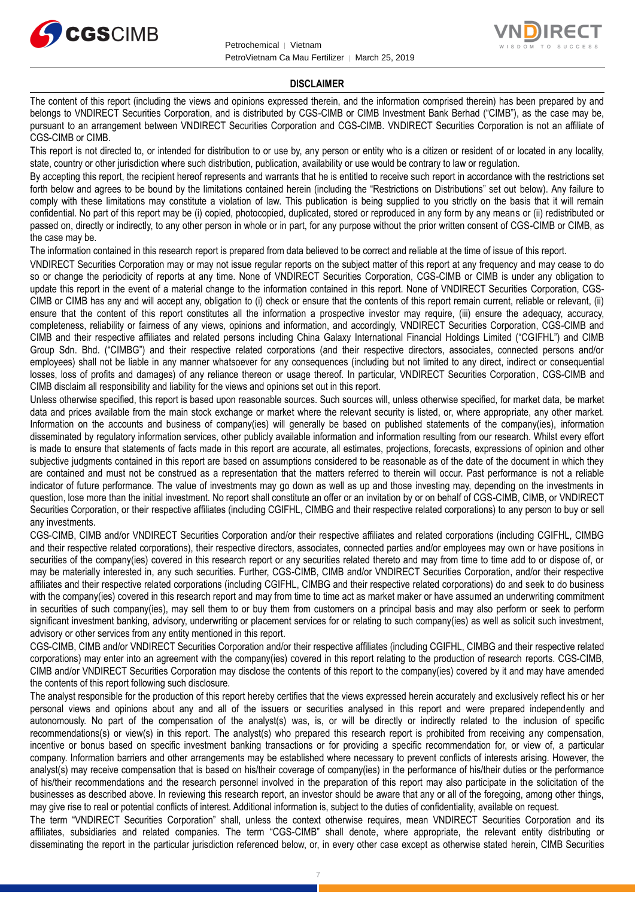



#### **DISCLAIMER**

The content of this report (including the views and opinions expressed therein, and the information comprised therein) has been prepared by and belongs to VNDIRECT Securities Corporation, and is distributed by CGS-CIMB or CIMB Investment Bank Berhad ("CIMB"), as the case may be, pursuant to an arrangement between VNDIRECT Securities Corporation and CGS-CIMB. VNDIRECT Securities Corporation is not an affiliate of CGS-CIMB or CIMB.

This report is not directed to, or intended for distribution to or use by, any person or entity who is a citizen or resident of or located in any locality, state, country or other jurisdiction where such distribution, publication, availability or use would be contrary to law or regulation.

By accepting this report, the recipient hereof represents and warrants that he is entitled to receive such report in accordance with the restrictions set forth below and agrees to be bound by the limitations contained herein (including the "Restrictions on Distributions" set out below). Any failure to comply with these limitations may constitute a violation of law. This publication is being supplied to you strictly on the basis that it will remain confidential. No part of this report may be (i) copied, photocopied, duplicated, stored or reproduced in any form by any means or (ii) redistributed or passed on, directly or indirectly, to any other person in whole or in part, for any purpose without the prior written consent of CGS-CIMB or CIMB, as the case may be.

The information contained in this research report is prepared from data believed to be correct and reliable at the time of issue of this report.

VNDIRECT Securities Corporation may or may not issue regular reports on the subject matter of this report at any frequency and may cease to do so or change the periodicity of reports at any time. None of VNDIRECT Securities Corporation, CGS-CIMB or CIMB is under any obligation to update this report in the event of a material change to the information contained in this report. None of VNDIRECT Securities Corporation, CGS-CIMB or CIMB has any and will accept any, obligation to (i) check or ensure that the contents of this report remain current, reliable or relevant, (ii) ensure that the content of this report constitutes all the information a prospective investor may require, (iii) ensure the adequacy, accuracy, completeness, reliability or fairness of any views, opinions and information, and accordingly, VNDIRECT Securities Corporation, CGS-CIMB and CIMB and their respective affiliates and related persons including China Galaxy International Financial Holdings Limited ("CGIFHL") and CIMB Group Sdn. Bhd. ("CIMBG") and their respective related corporations (and their respective directors, associates, connected persons and/or employees) shall not be liable in any manner whatsoever for any consequences (including but not limited to any direct, indirect or consequential losses, loss of profits and damages) of any reliance thereon or usage thereof. In particular, VNDIRECT Securities Corporation, CGS-CIMB and CIMB disclaim all responsibility and liability for the views and opinions set out in this report.

Unless otherwise specified, this report is based upon reasonable sources. Such sources will, unless otherwise specified, for market data, be market data and prices available from the main stock exchange or market where the relevant security is listed, or, where appropriate, any other market. Information on the accounts and business of company(ies) will generally be based on published statements of the company(ies), information disseminated by regulatory information services, other publicly available information and information resulting from our research. Whilst every effort is made to ensure that statements of facts made in this report are accurate, all estimates, projections, forecasts, expressions of opinion and other subjective judgments contained in this report are based on assumptions considered to be reasonable as of the date of the document in which they are contained and must not be construed as a representation that the matters referred to therein will occur. Past performance is not a reliable indicator of future performance. The value of investments may go down as well as up and those investing may, depending on the investments in question, lose more than the initial investment. No report shall constitute an offer or an invitation by or on behalf of CGS-CIMB, CIMB, or VNDIRECT Securities Corporation, or their respective affiliates (including CGIFHL, CIMBG and their respective related corporations) to any person to buy or sell any investments.

CGS-CIMB, CIMB and/or VNDIRECT Securities Corporation and/or their respective affiliates and related corporations (including CGIFHL, CIMBG and their respective related corporations), their respective directors, associates, connected parties and/or employees may own or have positions in securities of the company(ies) covered in this research report or any securities related thereto and may from time to time add to or dispose of, or may be materially interested in, any such securities. Further, CGS-CIMB, CIMB and/or VNDIRECT Securities Corporation, and/or their respective affiliates and their respective related corporations (including CGIFHL, CIMBG and their respective related corporations) do and seek to do business with the company(ies) covered in this research report and may from time to time act as market maker or have assumed an underwriting commitment in securities of such company(ies), may sell them to or buy them from customers on a principal basis and may also perform or seek to perform significant investment banking, advisory, underwriting or placement services for or relating to such company(ies) as well as solicit such investment, advisory or other services from any entity mentioned in this report.

CGS-CIMB, CIMB and/or VNDIRECT Securities Corporation and/or their respective affiliates (including CGIFHL, CIMBG and their respective related corporations) may enter into an agreement with the company(ies) covered in this report relating to the production of research reports. CGS-CIMB, CIMB and/or VNDIRECT Securities Corporation may disclose the contents of this report to the company(ies) covered by it and may have amended the contents of this report following such disclosure.

The analyst responsible for the production of this report hereby certifies that the views expressed herein accurately and exclusively reflect his or her personal views and opinions about any and all of the issuers or securities analysed in this report and were prepared independently and autonomously. No part of the compensation of the analyst(s) was, is, or will be directly or indirectly related to the inclusion of specific recommendations(s) or view(s) in this report. The analyst(s) who prepared this research report is prohibited from receiving any compensation, incentive or bonus based on specific investment banking transactions or for providing a specific recommendation for, or view of, a particular company. Information barriers and other arrangements may be established where necessary to prevent conflicts of interests arising. However, the analyst(s) may receive compensation that is based on his/their coverage of company(ies) in the performance of his/their duties or the performance of his/their recommendations and the research personnel involved in the preparation of this report may also participate in the solicitation of the businesses as described above. In reviewing this research report, an investor should be aware that any or all of the foregoing, among other things, may give rise to real or potential conflicts of interest. Additional information is, subject to the duties of confidentiality, available on request.

The term "VNDIRECT Securities Corporation" shall, unless the context otherwise requires, mean VNDIRECT Securities Corporation and its affiliates, subsidiaries and related companies. The term "CGS-CIMB" shall denote, where appropriate, the relevant entity distributing or disseminating the report in the particular jurisdiction referenced below, or, in every other case except as otherwise stated herein, CIMB Securities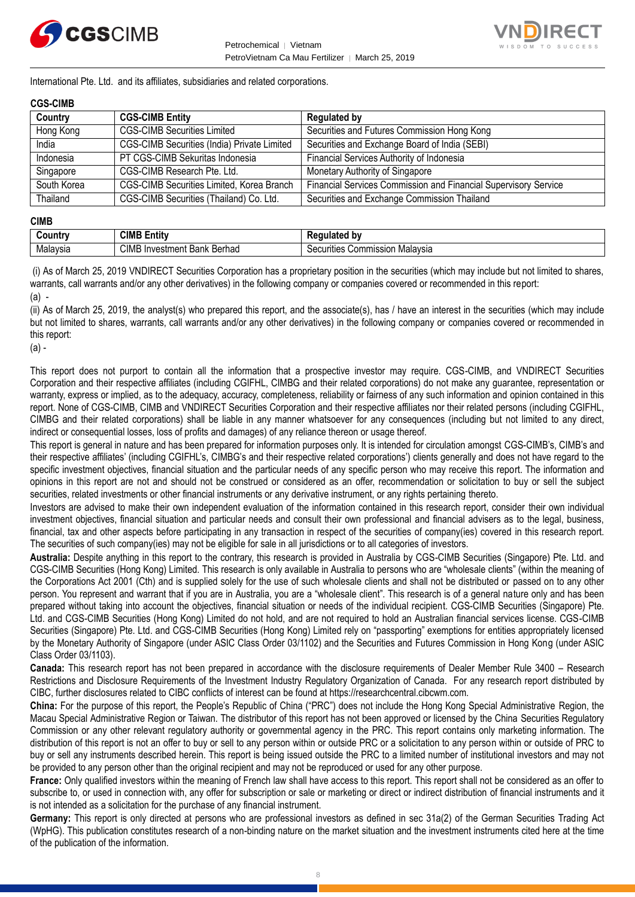



International Pte. Ltd. and its affiliates, subsidiaries and related corporations.

#### **CGS-CIMB**

| Country     | <b>CGS-CIMB Entity</b>                           | <b>Regulated by</b>                                             |
|-------------|--------------------------------------------------|-----------------------------------------------------------------|
| Hong Kong   | <b>CGS-CIMB Securities Limited</b>               | Securities and Futures Commission Hong Kong                     |
| India       | CGS-CIMB Securities (India) Private Limited      | Securities and Exchange Board of India (SEBI)                   |
| Indonesia   | PT CGS-CIMB Sekuritas Indonesia                  | Financial Services Authority of Indonesia                       |
| Singapore   | CGS-CIMB Research Pte. Ltd.                      | Monetary Authority of Singapore                                 |
| South Korea | <b>CGS-CIMB Securities Limited, Korea Branch</b> | Financial Services Commission and Financial Supervisory Service |
| Thailand    | CGS-CIMB Securities (Thailand) Co. Ltd.          | Securities and Exchange Commission Thailand                     |

#### **CIMB**

| ∶ountr\  | <b>CIML</b><br>.<br>- -<br>Entity            | b٧<br>--- -<br>.<br>παιει                                |
|----------|----------------------------------------------|----------------------------------------------------------|
| Malavsia | CIMB<br>Berhad<br>Investment<br>レヘハレ<br>Dank | Malavsia<br>`ommissior<br>$\sim$<br>urities<br>vv.<br>ುರ |

(i) As of March 25, 2019 VNDIRECT Securities Corporation has a proprietary position in the securities (which may include but not limited to shares, warrants, call warrants and/or any other derivatives) in the following company or companies covered or recommended in this report: (a) -

(ii) As of March 25, 2019, the analyst(s) who prepared this report, and the associate(s), has / have an interest in the securities (which may include but not limited to shares, warrants, call warrants and/or any other derivatives) in the following company or companies covered or recommended in this report:

(a) -

This report does not purport to contain all the information that a prospective investor may require. CGS-CIMB, and VNDIRECT Securities Corporation and their respective affiliates (including CGIFHL, CIMBG and their related corporations) do not make any guarantee, representation or warranty, express or implied, as to the adequacy, accuracy, completeness, reliability or fairness of any such information and opinion contained in this report. None of CGS-CIMB, CIMB and VNDIRECT Securities Corporation and their respective affiliates nor their related persons (including CGIFHL, CIMBG and their related corporations) shall be liable in any manner whatsoever for any consequences (including but not limited to any direct, indirect or consequential losses, loss of profits and damages) of any reliance thereon or usage thereof.

This report is general in nature and has been prepared for information purposes only. It is intended for circulation amongst CGS-CIMB's, CIMB's and their respective affiliates' (including CGIFHL's, CIMBG's and their respective related corporations') clients generally and does not have regard to the specific investment objectives, financial situation and the particular needs of any specific person who may receive this report. The information and opinions in this report are not and should not be construed or considered as an offer, recommendation or solicitation to buy or sell the subject securities, related investments or other financial instruments or any derivative instrument, or any rights pertaining thereto.

Investors are advised to make their own independent evaluation of the information contained in this research report, consider their own individual investment objectives, financial situation and particular needs and consult their own professional and financial advisers as to the legal, business, financial, tax and other aspects before participating in any transaction in respect of the securities of company(ies) covered in this research report. The securities of such company(ies) may not be eligible for sale in all jurisdictions or to all categories of investors.

**Australia:** Despite anything in this report to the contrary, this research is provided in Australia by CGS-CIMB Securities (Singapore) Pte. Ltd. and CGS-CIMB Securities (Hong Kong) Limited. This research is only available in Australia to persons who are "wholesale clients" (within the meaning of the Corporations Act 2001 (Cth) and is supplied solely for the use of such wholesale clients and shall not be distributed or passed on to any other person. You represent and warrant that if you are in Australia, you are a "wholesale client". This research is of a general nature only and has been prepared without taking into account the objectives, financial situation or needs of the individual recipient. CGS-CIMB Securities (Singapore) Pte. Ltd. and CGS-CIMB Securities (Hong Kong) Limited do not hold, and are not required to hold an Australian financial services license. CGS-CIMB Securities (Singapore) Pte. Ltd. and CGS-CIMB Securities (Hong Kong) Limited rely on "passporting" exemptions for entities appropriately licensed by the Monetary Authority of Singapore (under ASIC Class Order 03/1102) and the Securities and Futures Commission in Hong Kong (under ASIC Class Order 03/1103).

**Canada:** This research report has not been prepared in accordance with the disclosure requirements of Dealer Member Rule 3400 – Research Restrictions and Disclosure Requirements of the Investment Industry Regulatory Organization of Canada. For any research report distributed by CIBC, further disclosures related to CIBC conflicts of interest can be found at https://researchcentral.cibcwm.com.

**China:** For the purpose of this report, the People's Republic of China ("PRC") does not include the Hong Kong Special Administrative Region, the Macau Special Administrative Region or Taiwan. The distributor of this report has not been approved or licensed by the China Securities Regulatory Commission or any other relevant regulatory authority or governmental agency in the PRC. This report contains only marketing information. The distribution of this report is not an offer to buy or sell to any person within or outside PRC or a solicitation to any person within or outside of PRC to buy or sell any instruments described herein. This report is being issued outside the PRC to a limited number of institutional investors and may not be provided to any person other than the original recipient and may not be reproduced or used for any other purpose.

**France:** Only qualified investors within the meaning of French law shall have access to this report. This report shall not be considered as an offer to subscribe to, or used in connection with, any offer for subscription or sale or marketing or direct or indirect distribution of financial instruments and it is not intended as a solicitation for the purchase of any financial instrument.

**Germany:** This report is only directed at persons who are professional investors as defined in sec 31a(2) of the German Securities Trading Act (WpHG). This publication constitutes research of a non-binding nature on the market situation and the investment instruments cited here at the time of the publication of the information.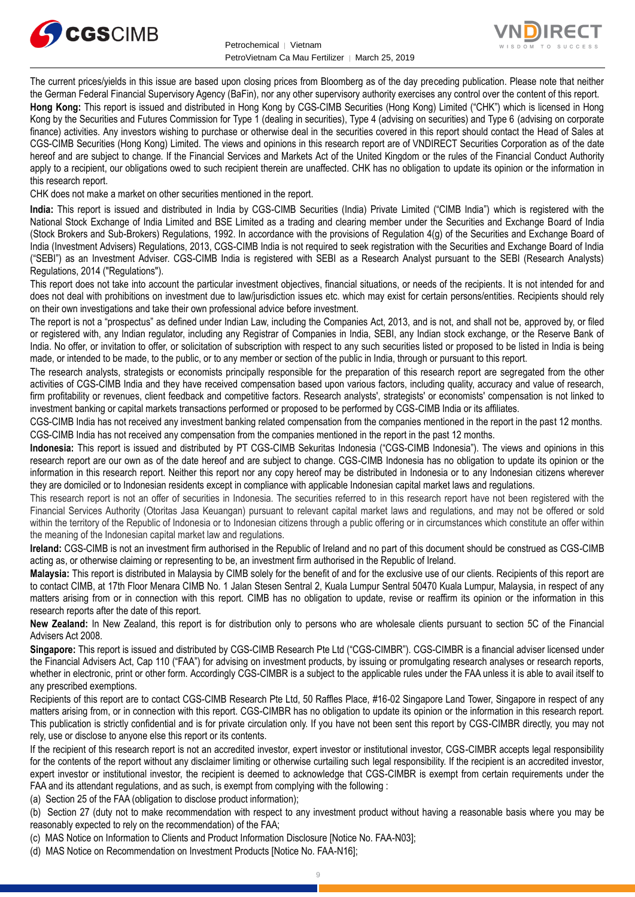



The current prices/yields in this issue are based upon closing prices from Bloomberg as of the day preceding publication. Please note that neither the German Federal Financial Supervisory Agency (BaFin), nor any other supervisory authority exercises any control over the content of this report.

**Hong Kong:** This report is issued and distributed in Hong Kong by CGS-CIMB Securities (Hong Kong) Limited ("CHK") which is licensed in Hong Kong by the Securities and Futures Commission for Type 1 (dealing in securities), Type 4 (advising on securities) and Type 6 (advising on corporate finance) activities. Any investors wishing to purchase or otherwise deal in the securities covered in this report should contact the Head of Sales at CGS-CIMB Securities (Hong Kong) Limited. The views and opinions in this research report are of VNDIRECT Securities Corporation as of the date hereof and are subject to change. If the Financial Services and Markets Act of the United Kingdom or the rules of the Financial Conduct Authority apply to a recipient, our obligations owed to such recipient therein are unaffected. CHK has no obligation to update its opinion or the information in this research report.

CHK does not make a market on other securities mentioned in the report.

**India:** This report is issued and distributed in India by CGS-CIMB Securities (India) Private Limited ("CIMB India") which is registered with the National Stock Exchange of India Limited and BSE Limited as a trading and clearing member under the Securities and Exchange Board of India (Stock Brokers and Sub-Brokers) Regulations, 1992. In accordance with the provisions of Regulation 4(g) of the Securities and Exchange Board of India (Investment Advisers) Regulations, 2013, CGS-CIMB India is not required to seek registration with the Securities and Exchange Board of India ("SEBI") as an Investment Adviser. CGS-CIMB India is registered with SEBI as a Research Analyst pursuant to the SEBI (Research Analysts) Regulations, 2014 ("Regulations").

This report does not take into account the particular investment objectives, financial situations, or needs of the recipients. It is not intended for and does not deal with prohibitions on investment due to law/jurisdiction issues etc. which may exist for certain persons/entities. Recipients should rely on their own investigations and take their own professional advice before investment.

The report is not a "prospectus" as defined under Indian Law, including the Companies Act, 2013, and is not, and shall not be, approved by, or filed or registered with, any Indian regulator, including any Registrar of Companies in India, SEBI, any Indian stock exchange, or the Reserve Bank of India. No offer, or invitation to offer, or solicitation of subscription with respect to any such securities listed or proposed to be listed in India is being made, or intended to be made, to the public, or to any member or section of the public in India, through or pursuant to this report.

The research analysts, strategists or economists principally responsible for the preparation of this research report are segregated from the other activities of CGS-CIMB India and they have received compensation based upon various factors, including quality, accuracy and value of research, firm profitability or revenues, client feedback and competitive factors. Research analysts', strategists' or economists' compensation is not linked to investment banking or capital markets transactions performed or proposed to be performed by CGS-CIMB India or its affiliates.

CGS-CIMB India has not received any investment banking related compensation from the companies mentioned in the report in the past 12 months. CGS-CIMB India has not received any compensation from the companies mentioned in the report in the past 12 months.

**Indonesia:** This report is issued and distributed by PT CGS-CIMB Sekuritas Indonesia ("CGS-CIMB Indonesia"). The views and opinions in this research report are our own as of the date hereof and are subject to change. CGS-CIMB Indonesia has no obligation to update its opinion or the information in this research report. Neither this report nor any copy hereof may be distributed in Indonesia or to any Indonesian citizens wherever they are domiciled or to Indonesian residents except in compliance with applicable Indonesian capital market laws and regulations.

This research report is not an offer of securities in Indonesia. The securities referred to in this research report have not been registered with the Financial Services Authority (Otoritas Jasa Keuangan) pursuant to relevant capital market laws and regulations, and may not be offered or sold within the territory of the Republic of Indonesia or to Indonesian citizens through a public offering or in circumstances which constitute an offer within the meaning of the Indonesian capital market law and regulations.

**Ireland:** CGS-CIMB is not an investment firm authorised in the Republic of Ireland and no part of this document should be construed as CGS-CIMB acting as, or otherwise claiming or representing to be, an investment firm authorised in the Republic of Ireland.

**Malaysia:** This report is distributed in Malaysia by CIMB solely for the benefit of and for the exclusive use of our clients. Recipients of this report are to contact CIMB, at 17th Floor Menara CIMB No. 1 Jalan Stesen Sentral 2, Kuala Lumpur Sentral 50470 Kuala Lumpur, Malaysia, in respect of any matters arising from or in connection with this report. CIMB has no obligation to update, revise or reaffirm its opinion or the information in this research reports after the date of this report.

**New Zealand:** In New Zealand, this report is for distribution only to persons who are wholesale clients pursuant to section 5C of the Financial Advisers Act 2008.

**Singapore:** This report is issued and distributed by CGS-CIMB Research Pte Ltd ("CGS-CIMBR"). CGS-CIMBR is a financial adviser licensed under the Financial Advisers Act, Cap 110 ("FAA") for advising on investment products, by issuing or promulgating research analyses or research reports, whether in electronic, print or other form. Accordingly CGS-CIMBR is a subject to the applicable rules under the FAA unless it is able to avail itself to any prescribed exemptions.

Recipients of this report are to contact CGS-CIMB Research Pte Ltd, 50 Raffles Place, #16-02 Singapore Land Tower, Singapore in respect of any matters arising from, or in connection with this report. CGS-CIMBR has no obligation to update its opinion or the information in this research report. This publication is strictly confidential and is for private circulation only. If you have not been sent this report by CGS-CIMBR directly, you may not rely, use or disclose to anyone else this report or its contents.

If the recipient of this research report is not an accredited investor, expert investor or institutional investor, CGS-CIMBR accepts legal responsibility for the contents of the report without any disclaimer limiting or otherwise curtailing such legal responsibility. If the recipient is an accredited investor, expert investor or institutional investor, the recipient is deemed to acknowledge that CGS-CIMBR is exempt from certain requirements under the FAA and its attendant regulations, and as such, is exempt from complying with the following :

(a) Section 25 of the FAA (obligation to disclose product information);

(b) Section 27 (duty not to make recommendation with respect to any investment product without having a reasonable basis where you may be reasonably expected to rely on the recommendation) of the FAA;

(c) MAS Notice on Information to Clients and Product Information Disclosure [Notice No. FAA-N03];

(d) MAS Notice on Recommendation on Investment Products [Notice No. FAA-N16];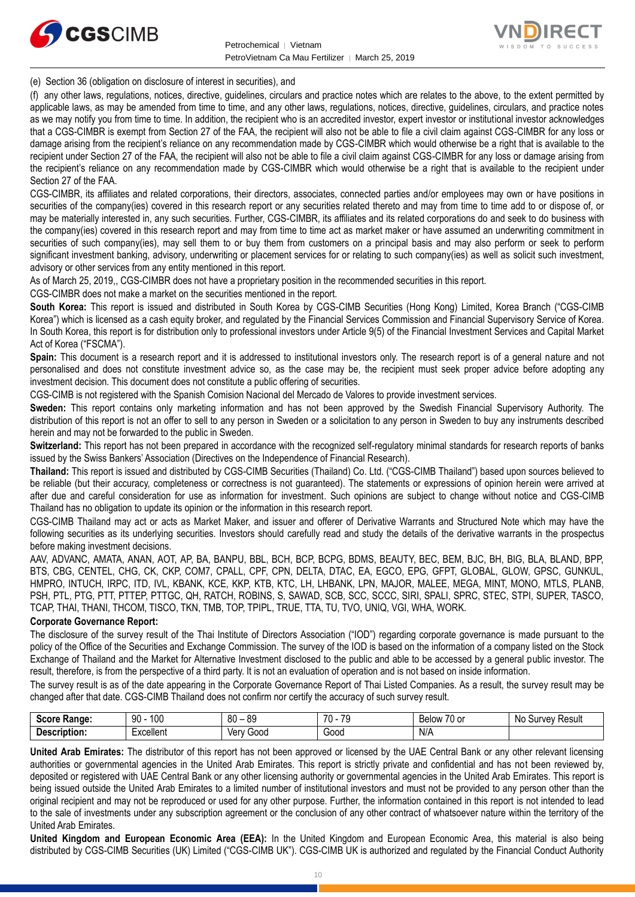



(e) Section 36 (obligation on disclosure of interest in securities), and

(f) any other laws, regulations, notices, directive, guidelines, circulars and practice notes which are relates to the above, to the extent permitted by applicable laws, as may be amended from time to time, and any other laws, regulations, notices, directive, guidelines, circulars, and practice notes as we may notify you from time to time. In addition, the recipient who is an accredited investor, expert investor or institutional investor acknowledges that a CGS-CIMBR is exempt from Section 27 of the FAA, the recipient will also not be able to file a civil claim against CGS-CIMBR for any loss or damage arising from the recipient's reliance on any recommendation made by CGS-CIMBR which would otherwise be a right that is available to the recipient under Section 27 of the FAA, the recipient will also not be able to file a civil claim against CGS-CIMBR for any loss or damage arising from the recipient's reliance on any recommendation made by CGS-CIMBR which would otherwise be a right that is available to the recipient under Section 27 of the FAA.

CGS-CIMBR, its affiliates and related corporations, their directors, associates, connected parties and/or employees may own or have positions in securities of the company(ies) covered in this research report or any securities related thereto and may from time to time add to or dispose of, or may be materially interested in, any such securities. Further, CGS-CIMBR, its affiliates and its related corporations do and seek to do business with the company(ies) covered in this research report and may from time to time act as market maker or have assumed an underwriting commitment in securities of such company(ies), may sell them to or buy them from customers on a principal basis and may also perform or seek to perform significant investment banking, advisory, underwriting or placement services for or relating to such company(ies) as well as solicit such investment, advisory or other services from any entity mentioned in this report.

As of March 25, 2019,, CGS-CIMBR does not have a proprietary position in the recommended securities in this report.

CGS-CIMBR does not make a market on the securities mentioned in the report.

**South Korea:** This report is issued and distributed in South Korea by CGS-CIMB Securities (Hong Kong) Limited, Korea Branch ("CGS-CIMB Korea") which is licensed as a cash equity broker, and regulated by the Financial Services Commission and Financial Supervisory Service of Korea. In South Korea, this report is for distribution only to professional investors under Article 9(5) of the Financial Investment Services and Capital Market Act of Korea ("FSCMA").

**Spain:** This document is a research report and it is addressed to institutional investors only. The research report is of a general nature and not personalised and does not constitute investment advice so, as the case may be, the recipient must seek proper advice before adopting any investment decision. This document does not constitute a public offering of securities.

CGS-CIMB is not registered with the Spanish Comision Nacional del Mercado de Valores to provide investment services.

**Sweden:** This report contains only marketing information and has not been approved by the Swedish Financial Supervisory Authority. The distribution of this report is not an offer to sell to any person in Sweden or a solicitation to any person in Sweden to buy any instruments described herein and may not be forwarded to the public in Sweden.

**Switzerland:** This report has not been prepared in accordance with the recognized self-regulatory minimal standards for research reports of banks issued by the Swiss Bankers' Association (Directives on the Independence of Financial Research).

**Thailand:** This report is issued and distributed by CGS-CIMB Securities (Thailand) Co. Ltd. ("CGS-CIMB Thailand") based upon sources believed to be reliable (but their accuracy, completeness or correctness is not guaranteed). The statements or expressions of opinion herein were arrived at after due and careful consideration for use as information for investment. Such opinions are subject to change without notice and CGS-CIMB Thailand has no obligation to update its opinion or the information in this research report.

CGS-CIMB Thailand may act or acts as Market Maker, and issuer and offerer of Derivative Warrants and Structured Note which may have the following securities as its underlying securities. Investors should carefully read and study the details of the derivative warrants in the prospectus before making investment decisions.

AAV, ADVANC, AMATA, ANAN, AOT, AP, BA, BANPU, BBL, BCH, BCP, BCPG, BDMS, BEAUTY, BEC, BEM, BJC, BH, BIG, BLA, BLAND, BPP, BTS, CBG, CENTEL, CHG, CK, CKP, COM7, CPALL, CPF, CPN, DELTA, DTAC, EA, EGCO, EPG, GFPT, GLOBAL, GLOW, GPSC, GUNKUL, HMPRO, INTUCH, IRPC, ITD, IVL, KBANK, KCE, KKP, KTB, KTC, LH, LHBANK, LPN, MAJOR, MALEE, MEGA, MINT, MONO, MTLS, PLANB, PSH, PTL, PTG, PTT, PTTEP, PTTGC, QH, RATCH, ROBINS, S, SAWAD, SCB, SCC, SCCC, SIRI, SPALI, SPRC, STEC, STPI, SUPER, TASCO, TCAP, THAI, THANI, THCOM, TISCO, TKN, TMB, TOP, TPIPL, TRUE, TTA, TU, TVO, UNIQ, VGI, WHA, WORK.

#### **Corporate Governance Report:**

The disclosure of the survey result of the Thai Institute of Directors Association ("IOD") regarding corporate governance is made pursuant to the policy of the Office of the Securities and Exchange Commission. The survey of the IOD is based on the information of a company listed on the Stock Exchange of Thailand and the Market for Alternative Investment disclosed to the public and able to be accessed by a general public investor. The result, therefore, is from the perspective of a third party. It is not an evaluation of operation and is not based on inside information.

The survey result is as of the date appearing in the Corporate Governance Report of Thai Listed Companies. As a result, the survey result may be changed after that date. CGS-CIMB Thailand does not confirm nor certify the accuracy of such survey result.

| <b>Score</b><br>Range: | 100<br>۵n<br>JU                         | 80<br>or<br>೦ಜ<br>$\overline{\phantom{0}}$ | 70<br>$\overline{\phantom{a}}$ | $\sim$ $\sim$<br>Below<br>/U or | Result<br>N0<br>Survey |
|------------------------|-----------------------------------------|--------------------------------------------|--------------------------------|---------------------------------|------------------------|
| <b>Description.</b>    | -<br>Lyonllon <sup>+</sup><br>≍x∪elie∏t | Ven<br>Good                                | Good<br>- - - -                | N/A                             |                        |

**United Arab Emirates:** The distributor of this report has not been approved or licensed by the UAE Central Bank or any other relevant licensing authorities or governmental agencies in the United Arab Emirates. This report is strictly private and confidential and has not been reviewed by, deposited or registered with UAE Central Bank or any other licensing authority or governmental agencies in the United Arab Emirates. This report is being issued outside the United Arab Emirates to a limited number of institutional investors and must not be provided to any person other than the original recipient and may not be reproduced or used for any other purpose. Further, the information contained in this report is not intended to lead to the sale of investments under any subscription agreement or the conclusion of any other contract of whatsoever nature within the territory of the United Arab Emirates.

**United Kingdom and European Economic Area (EEA):** In the United Kingdom and European Economic Area, this material is also being distributed by CGS-CIMB Securities (UK) Limited ("CGS-CIMB UK"). CGS-CIMB UK is authorized and regulated by the Financial Conduct Authority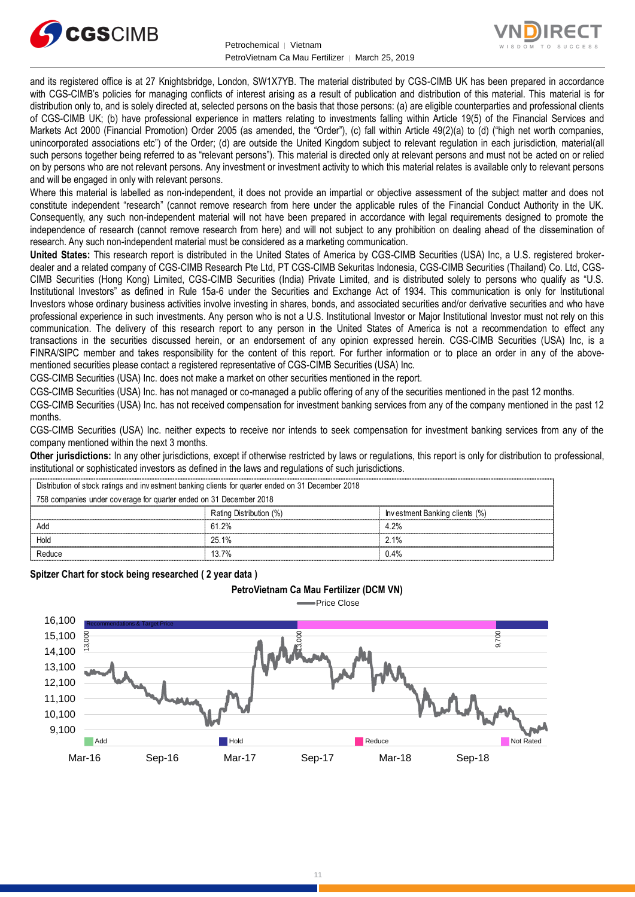



and its registered office is at 27 Knightsbridge, London, SW1X7YB. The material distributed by CGS-CIMB UK has been prepared in accordance with CGS-CIMB's policies for managing conflicts of interest arising as a result of publication and distribution of this material. This material is for distribution only to, and is solely directed at, selected persons on the basis that those persons: (a) are eligible counterparties and professional clients of CGS-CIMB UK; (b) have professional experience in matters relating to investments falling within Article 19(5) of the Financial Services and Markets Act 2000 (Financial Promotion) Order 2005 (as amended, the "Order"), (c) fall within Article 49(2)(a) to (d) ("high net worth companies, unincorporated associations etc") of the Order; (d) are outside the United Kingdom subject to relevant regulation in each jurisdiction, material(all such persons together being referred to as "relevant persons"). This material is directed only at relevant persons and must not be acted on or relied on by persons who are not relevant persons. Any investment or investment activity to which this material relates is available only to relevant persons and will be engaged in only with relevant persons.

Where this material is labelled as non-independent, it does not provide an impartial or objective assessment of the subject matter and does not constitute independent "research" (cannot remove research from here under the applicable rules of the Financial Conduct Authority in the UK. Consequently, any such non-independent material will not have been prepared in accordance with legal requirements designed to promote the independence of research (cannot remove research from here) and will not subject to any prohibition on dealing ahead of the dissemination of research. Any such non-independent material must be considered as a marketing communication.

**United States:** This research report is distributed in the United States of America by CGS-CIMB Securities (USA) Inc, a U.S. registered brokerdealer and a related company of CGS-CIMB Research Pte Ltd, PT CGS-CIMB Sekuritas Indonesia, CGS-CIMB Securities (Thailand) Co. Ltd, CGS-CIMB Securities (Hong Kong) Limited, CGS-CIMB Securities (India) Private Limited, and is distributed solely to persons who qualify as "U.S. Institutional Investors" as defined in Rule 15a-6 under the Securities and Exchange Act of 1934. This communication is only for Institutional Investors whose ordinary business activities involve investing in shares, bonds, and associated securities and/or derivative securities and who have professional experience in such investments. Any person who is not a U.S. Institutional Investor or Major Institutional Investor must not rely on this communication. The delivery of this research report to any person in the United States of America is not a recommendation to effect any transactions in the securities discussed herein, or an endorsement of any opinion expressed herein. CGS-CIMB Securities (USA) Inc, is a FINRA/SIPC member and takes responsibility for the content of this report. For further information or to place an order in any of the abovementioned securities please contact a registered representative of CGS-CIMB Securities (USA) Inc.

CGS-CIMB Securities (USA) Inc. does not make a market on other securities mentioned in the report.

CGS-CIMB Securities (USA) Inc. has not managed or co-managed a public offering of any of the securities mentioned in the past 12 months.

CGS-CIMB Securities (USA) Inc. has not received compensation for investment banking services from any of the company mentioned in the past 12 months.

CGS-CIMB Securities (USA) Inc. neither expects to receive nor intends to seek compensation for investment banking services from any of the company mentioned within the next 3 months.

**Other jurisdictions:** In any other jurisdictions, except if otherwise restricted by laws or regulations, this report is only for distribution to professional, institutional or sophisticated investors as defined in the laws and regulations of such jurisdictions. being the purisdictions: In any other jurisdictions, except if otherwise restricted by laws<br>stitutional or sophisticated investors as defined in the laws and regulations of such j<br>Distribution of stock ratings and investme

**PetroVietnam Ca Mau Fertilizer (DCM VN)**

| <b>Other jurisdictions:</b> In any other jurisdictions, except if otherwise restricted by laws or regulations, this report is only for distribution to<br>institutional or sophisticated investors as defined in the laws and regulations of such jurisdictions. |                         |                                |  |  |
|------------------------------------------------------------------------------------------------------------------------------------------------------------------------------------------------------------------------------------------------------------------|-------------------------|--------------------------------|--|--|
| Distribution of stock ratings and investment banking clients for quarter ended on 31 December 2018                                                                                                                                                               |                         |                                |  |  |
| 758 companies under coverage for quarter ended on 31 December 2018                                                                                                                                                                                               |                         |                                |  |  |
|                                                                                                                                                                                                                                                                  | Rating Distribution (%) | Investment Banking clients (%) |  |  |
| Add                                                                                                                                                                                                                                                              | 61.2%                   | 4.2%                           |  |  |
| Hold                                                                                                                                                                                                                                                             | 25.1%                   | $2.1\%$                        |  |  |
| Reduce                                                                                                                                                                                                                                                           | 13.7%                   | 0.4%                           |  |  |
|                                                                                                                                                                                                                                                                  |                         |                                |  |  |

**Spitzer Chart for stock being researched ( 2 year data )** 



11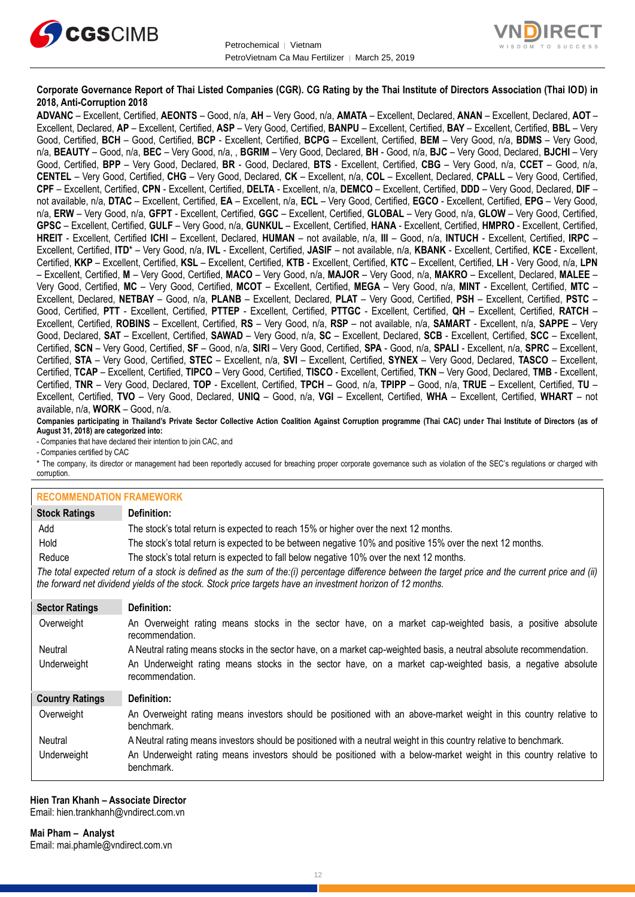



#### **Corporate Governance Report of Thai Listed Companies (CGR). CG Rating by the Thai Institute of Directors Association (Thai IOD) in 2018, Anti-Corruption 2018**

**ADVANC** – Excellent, Certified, **AEONTS** – Good, n/a, **AH** – Very Good, n/a, **AMATA** – Excellent, Declared, **ANAN** – Excellent, Declared, **AOT** – Excellent, Declared, **AP** – Excellent, Certified, **ASP** – Very Good, Certified, **BANPU** – Excellent, Certified, **BAY** – Excellent, Certified, **BBL** – Very Good, Certified, **BCH** – Good, Certified, **BCP** - Excellent, Certified, **BCPG** – Excellent, Certified, **BEM** – Very Good, n/a, **BDMS** – Very Good, n/a, **BEAUTY** – Good, n/a, **BEC** – Very Good, n/a, , **BGRIM** – Very Good, Declared, **BH** - Good, n/a, **BJC** – Very Good, Declared, **BJCHI** – Very Good, Certified, **BPP** – Very Good, Declared, **BR** - Good, Declared, **BTS** - Excellent, Certified, **CBG** – Very Good, n/a, **CCET** – Good, n/a, **CENTEL** – Very Good, Certified, **CHG** – Very Good, Declared, **CK** – Excellent, n/a, **COL** – Excellent, Declared, **CPALL** – Very Good, Certified, **CPF** – Excellent, Certified, **CPN** - Excellent, Certified, **DELTA** - Excellent, n/a, **DEMCO** – Excellent, Certified, **DDD** – Very Good, Declared, **DIF** – not available, n/a, **DTAC** – Excellent, Certified, **EA** – Excellent, n/a, **ECL** – Very Good, Certified, **EGCO** - Excellent, Certified, **EPG** – Very Good, n/a, **ERW** – Very Good, n/a, **GFPT** - Excellent, Certified, **GGC** – Excellent, Certified, **GLOBAL** – Very Good, n/a, **GLOW** – Very Good, Certified, **GPSC** – Excellent, Certified, **GULF** – Very Good, n/a, **GUNKUL** – Excellent, Certified, **HANA** - Excellent, Certified, **HMPRO** - Excellent, Certified, **HREIT** - Excellent, Certified **ICHI** – Excellent, Declared, **HUMAN** – not available, n/a, **III** – Good, n/a, **INTUCH** - Excellent, Certified, **IRPC** – Excellent, Certified, **ITD**\* – Very Good, n/a, **IVL** - Excellent, Certified, **JASIF** – not available, n/a, **KBANK** - Excellent, Certified, **KCE** - Excellent, Certified, **KKP** – Excellent, Certified, **KSL** – Excellent, Certified, **KTB** - Excellent, Certified, **KTC** – Excellent, Certified, **LH** - Very Good, n/a, **LPN** – Excellent, Certified, **M** – Very Good, Certified, **MACO** – Very Good, n/a, **MAJOR** – Very Good, n/a, **MAKRO** – Excellent, Declared, **MALEE** – Very Good, Certified, **MC** – Very Good, Certified, **MCOT** – Excellent, Certified, **MEGA** – Very Good, n/a, **MINT** - Excellent, Certified, **MTC** – Excellent, Declared, **NETBAY** – Good, n/a, **PLANB** – Excellent, Declared, **PLAT** – Very Good, Certified, **PSH** – Excellent, Certified, **PSTC** – Good, Certified, **PTT** - Excellent, Certified, **PTTEP** - Excellent, Certified, **PTTGC** - Excellent, Certified, **QH** – Excellent, Certified, **RATCH** – Excellent, Certified, **ROBINS** – Excellent, Certified, **RS** – Very Good, n/a, **RSP** – not available, n/a, **SAMART** - Excellent, n/a, **SAPPE** – Very Good, Declared, **SAT** – Excellent, Certified, **SAWAD** – Very Good, n/a, **SC** – Excellent, Declared, **SCB** - Excellent, Certified, **SCC** – Excellent, Certified, **SCN** – Very Good, Certified, **SF** – Good, n/a, **SIRI** – Very Good, Certified, **SPA** - Good, n/a, **SPALI** - Excellent, n/a, **SPRC** – Excellent, Certified, **STA** – Very Good, Certified, **STEC** – Excellent, n/a, **SVI** – Excellent, Certified, **SYNEX** – Very Good, Declared, **TASCO** – Excellent, Certified, **TCAP** – Excellent, Certified, **TIPCO** – Very Good, Certified, **TISCO** - Excellent, Certified, **TKN** – Very Good, Declared, **TMB** - Excellent, Certified, **TNR** – Very Good, Declared, **TOP** - Excellent, Certified, **TPCH** – Good, n/a, **TPIPP** – Good, n/a, **TRUE** – Excellent, Certified, **TU** – Excellent, Certified, **TVO** – Very Good, Declared, **UNIQ** – Good, n/a, **VGI** – Excellent, Certified, **WHA** – Excellent, Certified, **WHART** – not available, n/a, **WORK** – Good, n/a.

**Companies participating in Thailand's Private Sector Collective Action Coalition Against Corruption programme (Thai CAC) under Thai Institute of Directors (as of August 31, 2018) are categorized into:**

- Companies that have declared their intention to join CAC, and

- Companies certified by CAC

\* The company, its director or management had been reportedly accused for breaching proper corporate governance such as violation of the SEC's regulations or charged with corruption.

| <b>RECOMMENDATION FRAMEWORK</b>                                                                                                                                                                                                                                   |                                                                                                                                 |  |
|-------------------------------------------------------------------------------------------------------------------------------------------------------------------------------------------------------------------------------------------------------------------|---------------------------------------------------------------------------------------------------------------------------------|--|
| <b>Stock Ratings</b>                                                                                                                                                                                                                                              | Definition:                                                                                                                     |  |
| Add                                                                                                                                                                                                                                                               | The stock's total return is expected to reach 15% or higher over the next 12 months.                                            |  |
| Hold                                                                                                                                                                                                                                                              | The stock's total return is expected to be between negative 10% and positive 15% over the next 12 months.                       |  |
| Reduce                                                                                                                                                                                                                                                            | The stock's total return is expected to fall below negative 10% over the next 12 months.                                        |  |
| The total expected return of a stock is defined as the sum of the:(i) percentage difference between the target price and the current price and (ii)<br>the forward net dividend yields of the stock. Stock price targets have an investment horizon of 12 months. |                                                                                                                                 |  |
| <b>Sector Ratings</b>                                                                                                                                                                                                                                             | Definition:                                                                                                                     |  |
| Overweight                                                                                                                                                                                                                                                        | An Overweight rating means stocks in the sector have, on a market cap-weighted basis, a positive absolute<br>recommendation.    |  |
| Neutral                                                                                                                                                                                                                                                           | A Neutral rating means stocks in the sector have, on a market cap-weighted basis, a neutral absolute recommendation.            |  |
| Underweight                                                                                                                                                                                                                                                       | An Underweight rating means stocks in the sector have, on a market cap-weighted basis, a negative absolute<br>recommendation.   |  |
| <b>Country Ratings</b>                                                                                                                                                                                                                                            | Definition:                                                                                                                     |  |
| Overweight                                                                                                                                                                                                                                                        | An Overweight rating means investors should be positioned with an above-market weight in this country relative to<br>benchmark. |  |
| Neutral                                                                                                                                                                                                                                                           | A Neutral rating means investors should be positioned with a neutral weight in this country relative to benchmark.              |  |
| Underweight                                                                                                                                                                                                                                                       | An Underweight rating means investors should be positioned with a below-market weight in this country relative to<br>benchmark. |  |

#### **Hien Tran Khanh – Associate Director**

Email: [hien.trankhanh@vndirect.com.vn](mailto:hien.trankhanh@vndirect.com.vn)

**Mai Pham – Analyst** Email: [mai.phamle@vndirect.com.vn](mailto:mai.phamle@vndirect.com.vn)